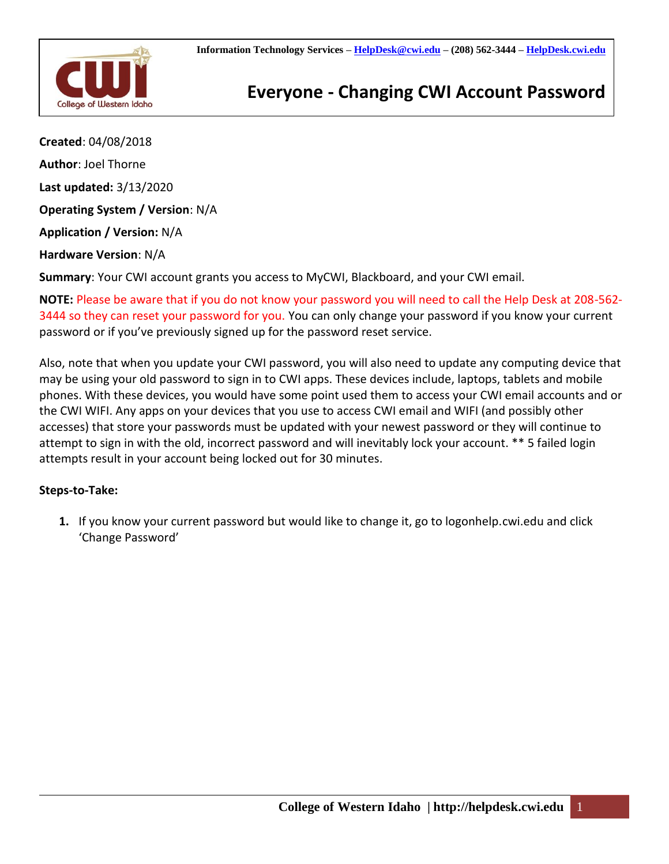

## **Everyone - Changing CWI Account Password**

**Created**: 04/08/2018 **Author**: Joel Thorne **Last updated:** 3/13/2020 **Operating System / Version**: N/A **Application / Version:** N/A **Hardware Version**: N/A **Summary**: Your CWI account grants you access to MyCWI, Blackboard, and your CWI email.

**NOTE:** Please be aware that if you do not know your password you will need to call the Help Desk at 208-562- 3444 so they can reset your password for you. You can only change your password if you know your current password or if you've previously signed up for the password reset service.

Also, note that when you update your CWI password, you will also need to update any computing device that may be using your old password to sign in to CWI apps. These devices include, laptops, tablets and mobile phones. With these devices, you would have some point used them to access your CWI email accounts and or the CWI WIFI. Any apps on your devices that you use to access CWI email and WIFI (and possibly other accesses) that store your passwords must be updated with your newest password or they will continue to attempt to sign in with the old, incorrect password and will inevitably lock your account. \*\* 5 failed login attempts result in your account being locked out for 30 minutes.

## **Steps-to-Take:**

**1.** If you know your current password but would like to change it, go to logonhelp.cwi.edu and click 'Change Password'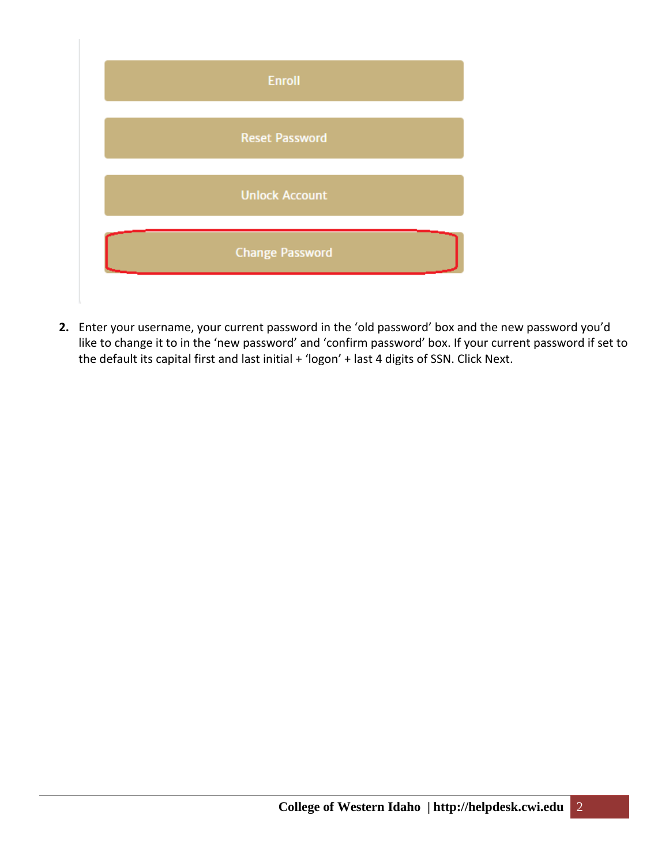

**2.** Enter your username, your current password in the 'old password' box and the new password you'd like to change it to in the 'new password' and 'confirm password' box. If your current password if set to the default its capital first and last initial + 'logon' + last 4 digits of SSN. Click Next.